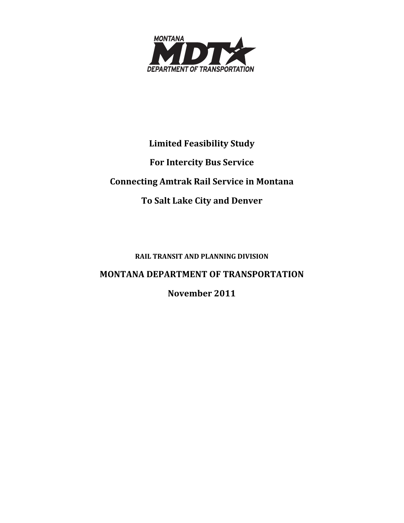

# **Limited Feasibility Study For Intercity Bus Service Connecting Amtrak Rail Service in Montana To Salt Lake City and Denver**

**RAIL TRANSIT AND PLANNING DIVISION**

# **MONTANA DEPARTMENT OF TRANSPORTATION**

**November 2011**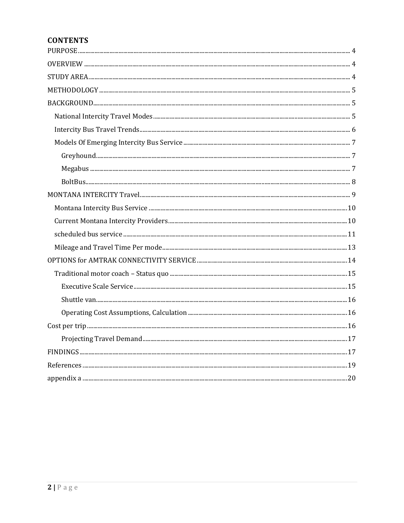# **CONTENTS**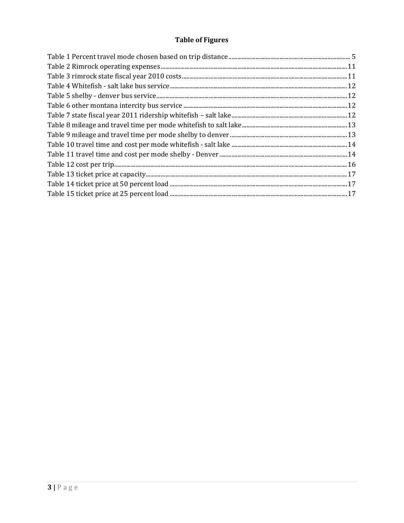# **Table of Figures**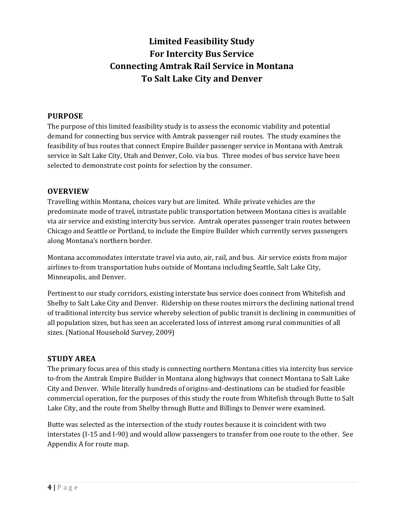# **Limited Feasibility Study For Intercity Bus Service Connecting Amtrak Rail Service in Montana To Salt Lake City and Denver**

## **PURPOSE**

The purpose of this limited feasibility study is to assess the economic viability and potential demand for connecting bus service with Amtrak passenger rail routes. The study examines the feasibility of bus routes that connect Empire Builder passenger service in Montana with Amtrak service in Salt Lake City, Utah and Denver, Colo. via bus. Three modes of bus service have been selected to demonstrate cost points for selection by the consumer.

## **OVERVIEW**

Travelling within Montana, choices vary but are limited. While private vehicles are the predominate mode of travel, intrastate public transportation between Montana cities is available via air service and existing intercity bus service. Amtrak operates passenger train routes between Chicago and Seattle or Portland, to include the Empire Builder which currently serves passengers along Montana's northern border.

Montana accommodates interstate travel via auto, air, rail, and bus. Air service exists from major airlines to-from transportation hubs outside of Montana including Seattle, Salt Lake City, Minneapolis, and Denver.

Pertinent to our study corridors, existing interstate bus service does connect from Whitefish and Shelby to Salt Lake City and Denver. Ridership on these routes mirrors the declining national trend of traditional intercity bus service whereby selection of public transit is declining in communities of all population sizes, but has seen an accelerated loss of interest among rural communities of all sizes. (National Household Survey, 2009)

## **STUDY AREA**

The primary focus area of this study is connecting northern Montana cities via intercity bus service to-from the Amtrak Empire Builder in Montana along highways that connect Montana to Salt Lake City and Denver. While literally hundreds of origins-and-destinations can be studied for feasible commercial operation, for the purposes of this study the route from Whitefish through Butte to Salt Lake City, and the route from Shelby through Butte and Billings to Denver were examined.

Butte was selected as the intersection of the study routes because it is coincident with two interstates (I-15 and I-90) and would allow passengers to transfer from one route to the other. See Appendix A for route map.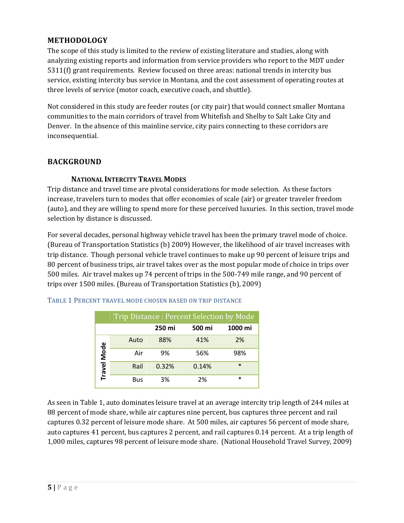## **METHODOLOGY**

The scope of this study is limited to the review of existing literature and studies, along with analyzing existing reports and information from service providers who report to the MDT under 5311(f) grant requirements. Review focused on three areas: national trends in intercity bus service, existing intercity bus service in Montana, and the cost assessment of operating routes at three levels of service (motor coach, executive coach, and shuttle).

Not considered in this study are feeder routes (or city pair) that would connect smaller Montana communities to the main corridors of travel from Whitefish and Shelby to Salt Lake City and Denver. In the absence of this mainline service, city pairs connecting to these corridors are inconsequential. 

## **BACKGROUND**

## **NATIONAL INTERCITY TRAVEL MODES**

Trip distance and travel time are pivotal considerations for mode selection. As these factors increase, travelers turn to modes that offer economies of scale (air) or greater traveler freedom (auto), and they are willing to spend more for these perceived luxuries. In this section, travel mode selection by distance is discussed.

For several decades, personal highway vehicle travel has been the primary travel mode of choice. (Bureau of Transportation Statistics (b) 2009) However, the likelihood of air travel increases with trip distance. Though personal vehicle travel continues to make up 90 percent of leisure trips and 80 percent of business trips, air travel takes over as the most popular mode of choice in trips over 500 miles. Air travel makes up 74 percent of trips in the 500-749 mile range, and 90 percent of trips over 1500 miles. (Bureau of Transportation Statistics (b), 2009)

|  | TABLE 1 PERCENT TRAVEL MODE CHOSEN BASED ON TRIP DISTANCE |
|--|-----------------------------------------------------------|
|--|-----------------------------------------------------------|

| Trip Distance: Percent Selection by Mode |      |        |        |         |  |
|------------------------------------------|------|--------|--------|---------|--|
|                                          |      | 250 mi | 500 mi | 1000 mi |  |
|                                          | Auto | 88%    | 41%    | 2%      |  |
|                                          | Air  | 9%     | 56%    | 98%     |  |
| Travel Mode                              | Rail | 0.32%  | 0.14%  | $\ast$  |  |
|                                          | Bus  | 3%     | 2%     | $\ast$  |  |

As seen in Table 1, auto dominates leisure travel at an average intercity trip length of 244 miles at 88 percent of mode share, while air captures nine percent, bus captures three percent and rail captures 0.32 percent of leisure mode share. At 500 miles, air captures 56 percent of mode share, auto captures 41 percent, bus captures 2 percent, and rail captures 0.14 percent. At a trip length of 1,000 miles, captures 98 percent of leisure mode share. (National Household Travel Survey, 2009)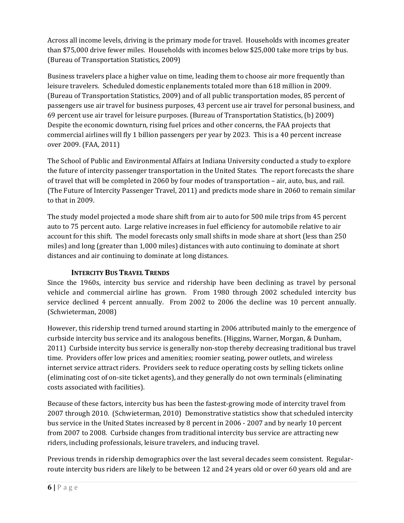Across all income levels, driving is the primary mode for travel. Households with incomes greater than \$75,000 drive fewer miles. Households with incomes below \$25,000 take more trips by bus. (Bureau of Transportation Statistics, 2009)

Business travelers place a higher value on time, leading them to choose air more frequently than leisure travelers. Scheduled domestic enplanements totaled more than 618 million in 2009. (Bureau of Transportation Statistics, 2009) and of all public transportation modes, 85 percent of passengers use air travel for business purposes, 43 percent use air travel for personal business, and 69 percent use air travel for leisure purposes. (Bureau of Transportation Statistics, (b) 2009) Despite the economic downturn, rising fuel prices and other concerns, the FAA projects that commercial airlines will fly 1 billion passengers per year by 2023. This is a 40 percent increase over 2009. (FAA, 2011)

The School of Public and Environmental Affairs at Indiana University conducted a study to explore the future of intercity passenger transportation in the United States. The report forecasts the share of travel that will be completed in 2060 by four modes of transportation – air, auto, bus, and rail. (The Future of Intercity Passenger Travel, 2011) and predicts mode share in 2060 to remain similar to that in 2009.

The study model projected a mode share shift from air to auto for 500 mile trips from 45 percent auto to 75 percent auto. Large relative increases in fuel efficiency for automobile relative to air account for this shift. The model forecasts only small shifts in mode share at short (less than 250 miles) and long (greater than 1,000 miles) distances with auto continuing to dominate at short distances and air continuing to dominate at long distances.

# **INTERCITY BUS TRAVEL TRENDS**

Since the 1960s, intercity bus service and ridership have been declining as travel by personal vehicle and commercial airline has grown. From 1980 through 2002 scheduled intercity bus service declined 4 percent annually. From 2002 to 2006 the decline was 10 percent annually. (Schwieterman, 2008)

However, this ridership trend turned around starting in 2006 attributed mainly to the emergence of curbside intercity bus service and its analogous benefits. (Higgins, Warner, Morgan, & Dunham, 2011) Curbside intercity bus service is generally non-stop thereby decreasing traditional bus travel time. Providers offer low prices and amenities; roomier seating, power outlets, and wireless internet service attract riders. Providers seek to reduce operating costs by selling tickets online (eliminating cost of on-site ticket agents), and they generally do not own terminals (eliminating costs associated with facilities).

Because of these factors, intercity bus has been the fastest-growing mode of intercity travel from 2007 through 2010. (Schwieterman, 2010) Demonstrative statistics show that scheduled intercity bus service in the United States increased by 8 percent in 2006 - 2007 and by nearly 10 percent from 2007 to 2008. Curbside changes from traditional intercity bus service are attracting new riders, including professionals, leisure travelers, and inducing travel.

Previous trends in ridership demographics over the last several decades seem consistent. Regularroute intercity bus riders are likely to be between 12 and 24 years old or over 60 years old and are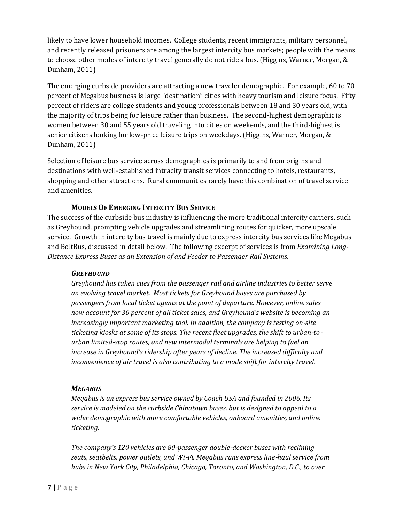likely to have lower household incomes. College students, recent immigrants, military personnel, and recently released prisoners are among the largest intercity bus markets; people with the means to choose other modes of intercity travel generally do not ride a bus. (Higgins, Warner, Morgan, & Dunham, 2011)

The emerging curbside providers are attracting a new traveler demographic. For example, 60 to 70 percent of Megabus business is large "destination" cities with heavy tourism and leisure focus. Fifty percent of riders are college students and young professionals between 18 and 30 years old, with the majority of trips being for leisure rather than business. The second-highest demographic is women between 30 and 55 years old traveling into cities on weekends, and the third-highest is senior citizens looking for low-price leisure trips on weekdays. (Higgins, Warner, Morgan, & Dunham, 2011)

Selection of leisure bus service across demographics is primarily to and from origins and destinations with well-established intracity transit services connecting to hotels, restaurants, shopping and other attractions. Rural communities rarely have this combination of travel service and amenities.

## **MODELS OF EMERGING INTERCITY BUS SERVICE**

The success of the curbside bus industry is influencing the more traditional intercity carriers, such as Greyhound, prompting vehicle upgrades and streamlining routes for quicker, more upscale service. Growth in intercity bus travel is mainly due to express intercity bus services like Megabus and BoltBus, discussed in detail below. The following excerpt of services is from *Examining Long*-*Distance Express Buses as an Extension of and Feeder to Passenger Rail Systems*. 

#### *GREYHOUND*

*Greyhound has taken cues from the passenger rail and airline industries to better serve an evolving travel market. Most tickets for Greyhound buses are purchased by passengers from local ticket agents at the point of departure. However, online sales now account for 30 percent of all ticket sales, and Greyhound's website is becoming an increasingly important marketing tool. In addition, the company is testing on*‐*site ticketing kiosks at some of its stops. The recent fleet upgrades, the shift to urban*‐*to*‐ *urban limited*‐*stop routes, and new intermodal terminals are helping to fuel an increase in Greyhound's ridership after years of decline. The increased difficulty and inconvenience of air travel is also contributing to a mode shift for intercity travel.*

## *MEGABUS*

*Megabus is an express bus service owned by Coach USA and founded in 2006. Its service is modeled on the curbside Chinatown buses, but is designed to appeal to a wider demographic with more comfortable vehicles, onboard amenities, and online ticketing.* 

*The company's 120 vehicles are 80*‐*passenger double*‐*decker buses with reclining seats, seatbelts, power outlets, and Wi*‐*Fi. Megabus runs express line*‐*haul service from hubs in New York City, Philadelphia, Chicago, Toronto, and Washington, D.C., to over*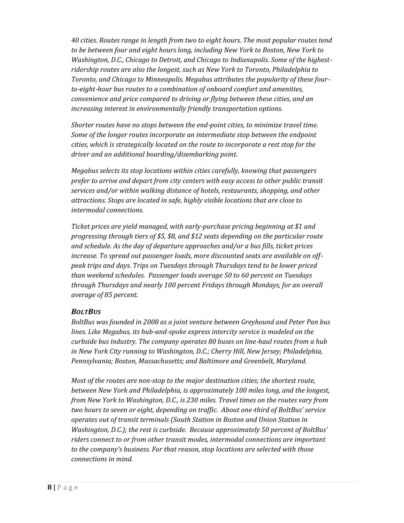*40 cities. Routes range in length from two to eight hours. The most popular routes tend to be between four and eight hours long, including New York to Boston, New York to Washington, D.C., Chicago to Detroit, and Chicago to Indianapolis. Some of the highest*‐ *ridership routes are also the longest, such as New York to Toronto, Philadelphia to Toronto, and Chicago to Minneapolis. Megabus attributes the popularity of these four*‐ *to*‐*eight*‐*hour bus routes to a combination of onboard comfort and amenities, convenience and price compared to driving or flying between these cities, and an increasing interest in environmentally friendly transportation options.*

*Shorter routes have no stops between the end*‐*point cities, to minimize travel time. Some of the longer routes incorporate an intermediate stop between the endpoint cities, which is strategically located on the route to incorporate a rest stop for the driver and an additional boarding/disembarking point.*

*Megabus selects its stop locations within cities carefully, knowing that passengers prefer to arrive and depart from city centers with easy access to other public transit services and/or within walking distance of hotels, restaurants, shopping, and other attractions. Stops are located in safe, highly visible locations that are close to intermodal connections.*

*Ticket prices are yield managed, with early*‐*purchase pricing beginning at \$1 and progressing through tiers of \$5, \$8, and \$12 seats depending on the particular route and schedule. As the day of departure approaches and/or a bus fills, ticket prices increase. To spread out passenger loads, more discounted seats are available on off*‐ *peak trips and days. Trips on Tuesdays through Thursdays tend to be lower priced than weekend schedules. Passenger loads average 50 to 60 percent on Tuesdays through Thursdays and nearly 100 percent Fridays through Mondays, for an overall average of 85 percent.* 

#### *BOLTBUS*

*BoltBus was founded in 2008 as a joint venture between Greyhound and Peter Pan bus lines. Like Megabus, its hub*‐*and*‐*spoke express intercity service is modeled on the curbside bus industry. The company operates 80 buses on line*‐*haul routes from a hub in New York City running to Washington, D.C.; Cherry Hill, New Jersey; Philadelphia, Pennsylvania; Boston, Massachusetts; and Baltimore and Greenbelt, Maryland.*

*Most of the routes are non*‐*stop to the major destination cities; the shortest route, between New York and Philadelphia, is approximately 100 miles long, and the longest, from New York to Washington, D.C., is 230 miles. Travel times on the routes vary from two hours to seven or eight, depending on traffic. About one*‐*third of BoltBus' service operates out of transit terminals (South Station in Boston and Union Station in Washington, D.C.); the rest is curbside. Because approximately 50 percent of BoltBus' riders connect to or from other transit modes, intermodal connections are important to the company's business. For that reason, stop locations are selected with those connections in mind.*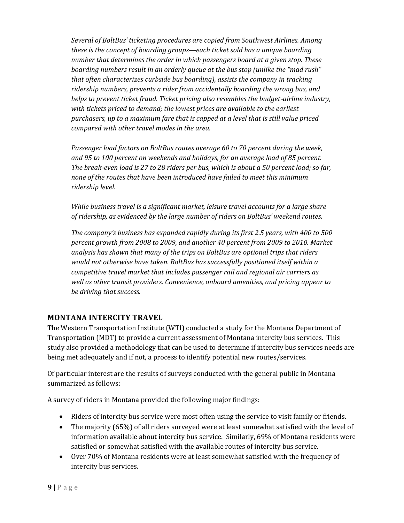*Several of BoltBus' ticketing procedures are copied from Southwest Airlines. Among these is the concept of boarding groups—each ticket sold has a unique boarding number that determines the order in which passengers board at a given stop. These boarding numbers result in an orderly queue at the bus stop (unlike the "mad rush" that often characterizes curbside bus boarding), assists the company in tracking ridership numbers, prevents a rider from accidentally boarding the wrong bus, and helps to prevent ticket fraud. Ticket pricing also resembles the budget*‐*airline industry, with tickets priced to demand; the lowest prices are available to the earliest purchasers, up to a maximum fare that is capped at a level that is still value priced compared with other travel modes in the area.* 

*Passenger load factors on BoltBus routes average 60 to 70 percent during the week, and 95 to 100 percent on weekends and holidays, for an average load of 85 percent.* The break-even load is 27 to 28 riders per bus, which is about a 50 percent load; so far, *none of the routes that have been introduced have failed to meet this minimum ridership level.* 

*While business travel is a significant market, leisure travel accounts for a large share of ridership, as evidenced by the large number of riders on BoltBus' weekend routes.* 

*The company's business has expanded rapidly during its first 2.5 years, with 400 to 500 percent growth from 2008 to 2009, and another 40 percent from 2009 to 2010. Market analysis has shown that many of the trips on BoltBus are optional trips that riders would not otherwise have taken. BoltBus has successfully positioned itself within a competitive travel market that includes passenger rail and regional air carriers as well as other transit providers. Convenience, onboard amenities, and pricing appear to be driving that success.*

# **MONTANA INTERCITY TRAVEL**

The Western Transportation Institute (WTI) conducted a study for the Montana Department of Transportation (MDT) to provide a current assessment of Montana intercity bus services. This study also provided a methodology that can be used to determine if intercity bus services needs are being met adequately and if not, a process to identify potential new routes/services.

Of particular interest are the results of surveys conducted with the general public in Montana summarized as follows:

A survey of riders in Montana provided the following major findings:

- Riders of intercity bus service were most often using the service to visit family or friends.
- The majority  $(65%)$  of all riders surveyed were at least somewhat satisfied with the level of information available about intercity bus service. Similarly, 69% of Montana residents were satisfied or somewhat satisfied with the available routes of intercity bus service.
- Over 70% of Montana residents were at least somewhat satisfied with the frequency of intercity bus services.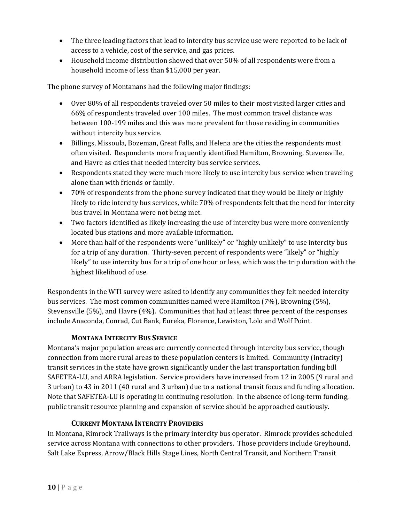- The three leading factors that lead to intercity bus service use were reported to be lack of access to a vehicle, cost of the service, and gas prices.
- Household income distribution showed that over 50% of all respondents were from a household income of less than \$15,000 per year.

The phone survey of Montanans had the following major findings:

- Over 80% of all respondents traveled over 50 miles to their most visited larger cities and 66% of respondents traveled over 100 miles. The most common travel distance was between 100-199 miles and this was more prevalent for those residing in communities without intercity bus service.
- Billings, Missoula, Bozeman, Great Falls, and Helena are the cities the respondents most often visited. Respondents more frequently identified Hamilton, Browning, Stevensville, and Havre as cities that needed intercity bus service services.
- Respondents stated they were much more likely to use intercity bus service when traveling alone than with friends or family.
- 70% of respondents from the phone survey indicated that they would be likely or highly likely to ride intercity bus services, while 70% of respondents felt that the need for intercity bus travel in Montana were not being met.
- Two factors identified as likely increasing the use of intercity bus were more conveniently located bus stations and more available information.
- More than half of the respondents were "unlikely" or "highly unlikely" to use intercity bus for a trip of any duration. Thirty-seven percent of respondents were "likely" or "highly likely" to use intercity bus for a trip of one hour or less, which was the trip duration with the highest likelihood of use.

Respondents in the WTI survey were asked to identify any communities they felt needed intercity bus services. The most common communities named were Hamilton  $(7%)$ , Browning  $(5%)$ , Stevensville  $(5\%)$ , and Havre  $(4\%)$ . Communities that had at least three percent of the responses include Anaconda, Conrad, Cut Bank, Eureka, Florence, Lewiston, Lolo and Wolf Point.

# **MONTANA INTERCITY BUS SERVICE**

Montana's major population areas are currently connected through intercity bus service, though connection from more rural areas to these population centers is limited. Community (intracity) transit services in the state have grown significantly under the last transportation funding bill SAFETEA-LU, and ARRA legislation. Service providers have increased from 12 in 2005 (9 rural and 3 urban) to 43 in 2011 (40 rural and 3 urban) due to a national transit focus and funding allocation. Note that SAFETEA-LU is operating in continuing resolution. In the absence of long-term funding, public transit resource planning and expansion of service should be approached cautiously.

# **CURRENT MONTANA INTERCITY PROVIDERS**

In Montana, Rimrock Trailways is the primary intercity bus operator. Rimrock provides scheduled service across Montana with connections to other providers. Those providers include Greyhound, Salt Lake Express, Arrow/Black Hills Stage Lines, North Central Transit, and Northern Transit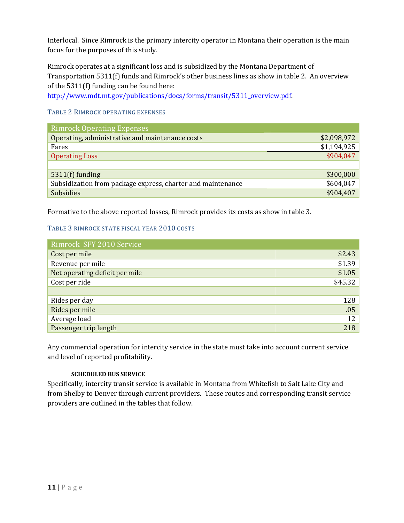Interlocal. Since Rimrock is the primary intercity operator in Montana their operation is the main focus for the purposes of this study.

Rimrock operates at a significant loss and is subsidized by the Montana Department of Transportation 5311(f) funds and Rimrock's other business lines as show in table 2. An overview of the  $5311(f)$  funding can be found here:

http://www.mdt.mt.gov/publications/docs/forms/transit/5311\_overview.pdf. 

#### TABLE 2 RIMROCK OPERATING EXPENSES

| <b>Rimrock Operating Expenses</b>                           |             |
|-------------------------------------------------------------|-------------|
| Operating, administrative and maintenance costs             | \$2,098,972 |
| Fares                                                       | \$1,194,925 |
| <b>Operating Loss</b>                                       | \$904,047   |
|                                                             |             |
| $5311(f)$ funding                                           | \$300,000   |
| Subsidization from package express, charter and maintenance | \$604,047   |
| <b>Subsidies</b>                                            | \$904,407   |

Formative to the above reported losses, Rimrock provides its costs as show in table 3.

#### TABLE 3 RIMROCK STATE FISCAL YEAR 2010 COSTS

| Rimrock SFY 2010 Service       |         |
|--------------------------------|---------|
| Cost per mile                  | \$2.43  |
| Revenue per mile               | \$1.39  |
| Net operating deficit per mile | \$1.05  |
| Cost per ride                  | \$45.32 |
|                                |         |
| Rides per day                  | 128     |
| Rides per mile                 | .05     |
| Average load                   | 12      |
| Passenger trip length          | 218     |

Any commercial operation for intercity service in the state must take into account current service and level of reported profitability.

#### **SCHEDULED BUS SERVICE**

Specifically, intercity transit service is available in Montana from Whitefish to Salt Lake City and from Shelby to Denver through current providers. These routes and corresponding transit service providers are outlined in the tables that follow.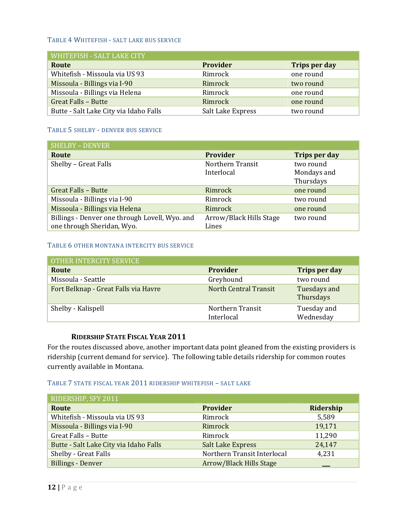#### TABLE 4 WHITEFISH - SALT LAKE BUS SERVICE

| WHITEFISH - SALT LAKE CITY             |                   |               |
|----------------------------------------|-------------------|---------------|
| Route                                  | <b>Provider</b>   | Trips per day |
| Whitefish - Missoula via US 93         | Rimrock           | one round     |
| Missoula - Billings via I-90           | Rimrock           | two round     |
| Missoula - Billings via Helena         | Rimrock           | one round     |
| <b>Great Falls - Butte</b>             | Rimrock           | one round     |
| Butte - Salt Lake City via Idaho Falls | Salt Lake Express | two round     |

#### TABLE 5 SHELBY - DENVER BUS SERVICE

| <b>SHELBY - DENVER</b>                         |                         |               |
|------------------------------------------------|-------------------------|---------------|
| Route                                          | <b>Provider</b>         | Trips per day |
| Shelby - Great Falls                           | Northern Transit        | two round     |
|                                                | Interlocal              | Mondays and   |
|                                                |                         | Thursdays     |
| Great Falls - Butte                            | Rimrock                 | one round     |
| Missoula - Billings via I-90                   | Rimrock                 | two round     |
| Missoula - Billings via Helena                 | Rimrock                 | one round     |
| Billings - Denver one through Lovell, Wyo. and | Arrow/Black Hills Stage | two round     |
| one through Sheridan, Wyo.                     | Lines                   |               |

#### TABLE 6 OTHER MONTANA INTERCITY BUS SERVICE

| OTHER INTERCITY SERVICE              |                                |                           |
|--------------------------------------|--------------------------------|---------------------------|
| Route                                | <b>Provider</b>                | Trips per day             |
| Missoula - Seattle                   | Greyhound                      | two round                 |
| Fort Belknap - Great Falls via Havre | <b>North Central Transit</b>   | Tuesdays and<br>Thursdays |
| Shelby - Kalispell                   | Northern Transit<br>Interlocal | Tuesday and<br>Wednesday  |

#### **RIDERSHIP STATE FISCAL YEAR 2011**

For the routes discussed above, another important data point gleaned from the existing providers is ridership (current demand for service). The following table details ridership for common routes currently available in Montana.

#### TABLE 7 STATE FISCAL YEAR 2011 RIDERSHIP WHITEFISH - SALT LAKE

| RIDERSHIP, SFY 2011                    |                             |           |
|----------------------------------------|-----------------------------|-----------|
| Route                                  | <b>Provider</b>             | Ridership |
| Whitefish - Missoula via US 93         | Rimrock                     | 5,589     |
| Missoula - Billings via I-90           | Rimrock                     | 19,171    |
| <b>Great Falls - Butte</b>             | Rimrock                     | 11,290    |
| Butte - Salt Lake City via Idaho Falls | <b>Salt Lake Express</b>    | 24,147    |
| Shelby - Great Falls                   | Northern Transit Interlocal | 4,231     |
| <b>Billings - Denver</b>               | Arrow/Black Hills Stage     |           |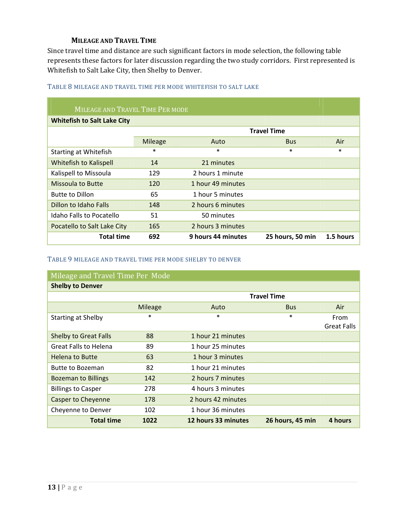## **MILEAGE AND TRAVEL TIME**

Since travel time and distance are such significant factors in mode selection, the following table represents these factors for later discussion regarding the two study corridors. First represented is Whitefish to Salt Lake City, then Shelby to Denver.

| MILEAGE AND TRAVEL TIME PER MODE   |                |                    |                    |           |
|------------------------------------|----------------|--------------------|--------------------|-----------|
| <b>Whitefish to Salt Lake City</b> |                |                    |                    |           |
|                                    |                |                    | <b>Travel Time</b> |           |
|                                    | <b>Mileage</b> | Auto               | <b>Bus</b>         | Air       |
| <b>Starting at Whitefish</b>       | $\ast$         | $\ast$             | $\ast$             | $\ast$    |
| Whitefish to Kalispell             | 14             | 21 minutes         |                    |           |
| Kalispell to Missoula              | 129            | 2 hours 1 minute   |                    |           |
| <b>Missoula to Butte</b>           | 120            | 1 hour 49 minutes  |                    |           |
| <b>Butte to Dillon</b>             | 65             | 1 hour 5 minutes   |                    |           |
| Dillon to Idaho Falls              | 148            | 2 hours 6 minutes  |                    |           |
| Idaho Falls to Pocatello           | 51             | 50 minutes         |                    |           |
| Pocatello to Salt Lake City        | 165            | 2 hours 3 minutes  |                    |           |
| <b>Total time</b>                  | 692            | 9 hours 44 minutes | 25 hours, 50 min   | 1.5 hours |

#### TABLE 8 MILEAGE AND TRAVEL TIME PER MODE WHITEFISH TO SALT LAKE

#### TABLE 9 MILEAGE AND TRAVEL TIME PER MODE SHELBY TO DENVER

| Mileage and Travel Time Per Mode |                    |                     |                  |                    |
|----------------------------------|--------------------|---------------------|------------------|--------------------|
| <b>Shelby to Denver</b>          |                    |                     |                  |                    |
|                                  | <b>Travel Time</b> |                     |                  |                    |
|                                  | <b>Mileage</b>     | Auto                | <b>Bus</b>       | Air                |
| <b>Starting at Shelby</b>        | $\ast$             | *                   | $\ast$           | From               |
|                                  |                    |                     |                  | <b>Great Falls</b> |
| <b>Shelby to Great Falls</b>     | 88                 | 1 hour 21 minutes   |                  |                    |
| <b>Great Falls to Helena</b>     | 89                 | 1 hour 25 minutes   |                  |                    |
| Helena to Butte                  | 63                 | 1 hour 3 minutes    |                  |                    |
| Butte to Bozeman                 | 82                 | 1 hour 21 minutes   |                  |                    |
| <b>Bozeman to Billings</b>       | 142                | 2 hours 7 minutes   |                  |                    |
| <b>Billings to Casper</b>        | 278                | 4 hours 3 minutes   |                  |                    |
| <b>Casper to Cheyenne</b>        | 178                | 2 hours 42 minutes  |                  |                    |
| Cheyenne to Denver               | 102                | 1 hour 36 minutes   |                  |                    |
| <b>Total time</b>                | 1022               | 12 hours 33 minutes | 26 hours, 45 min | 4 hours            |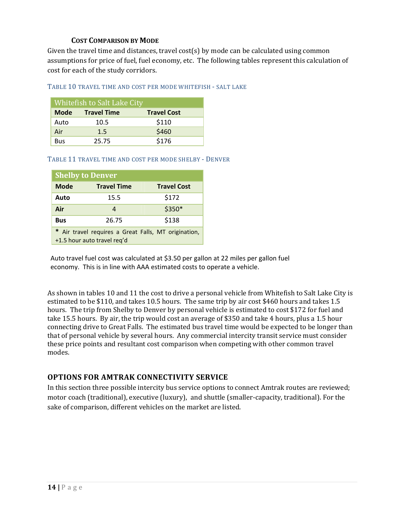## **COST COMPARISON BY MODE**

Given the travel time and distances, travel cost(s) by mode can be calculated using common assumptions for price of fuel, fuel economy, etc. The following tables represent this calculation of cost for each of the study corridors.

TABLE 10 TRAVEL TIME AND COST PER MODE WHITEFISH - SALT LAKE

| Whitefish to Salt Lake City |                    |                    |  |
|-----------------------------|--------------------|--------------------|--|
| <b>Mode</b>                 | <b>Travel Time</b> | <b>Travel Cost</b> |  |
| Auto                        | 10.5               | \$110              |  |
| Air                         | 1.5                | \$460              |  |
| Bus                         | 25.75              | \$176              |  |

TABLE 11 TRAVEL TIME AND COST PER MODE SHELBY - DENVER

| <b>Shelby to Denver</b>                                                             |                    |                    |  |
|-------------------------------------------------------------------------------------|--------------------|--------------------|--|
| <b>Mode</b>                                                                         | <b>Travel Time</b> | <b>Travel Cost</b> |  |
| Auto                                                                                | 15.5               | \$172              |  |
| Air                                                                                 | 4                  | \$350*             |  |
| <b>Bus</b>                                                                          | \$138<br>26.75     |                    |  |
| * Air travel requires a Great Falls, MT origination,<br>+1.5 hour auto travel reg'd |                    |                    |  |

Auto travel fuel cost was calculated at \$3.50 per gallon at 22 miles per gallon fuel economy. This is in line with AAA estimated costs to operate a vehicle.

As shown in tables 10 and 11 the cost to drive a personal vehicle from Whitefish to Salt Lake City is estimated to be \$110, and takes 10.5 hours. The same trip by air cost \$460 hours and takes 1.5 hours. The trip from Shelby to Denver by personal vehicle is estimated to cost \$172 for fuel and take 15.5 hours. By air, the trip would cost an average of \$350 and take 4 hours, plus a 1.5 hour connecting drive to Great Falls. The estimated bus travel time would be expected to be longer than that of personal vehicle by several hours. Any commercial intercity transit service must consider these price points and resultant cost comparison when competing with other common travel modes. 

## **OPTIONS FOR AMTRAK CONNECTIVITY SERVICE**

In this section three possible intercity bus service options to connect Amtrak routes are reviewed; motor coach (traditional), executive (luxury), and shuttle (smaller-capacity, traditional). For the sake of comparison, different vehicles on the market are listed.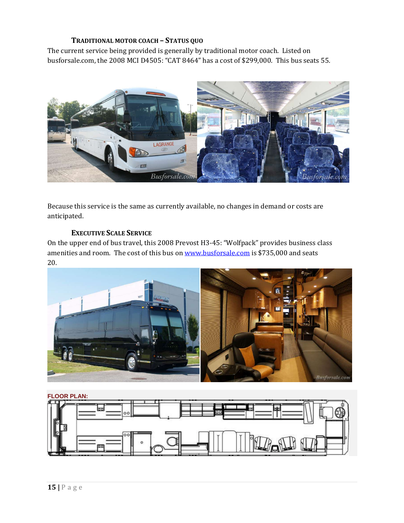## **TRADITIONAL MOTOR COACH – STATUS QUO**

The current service being provided is generally by traditional motor coach. Listed on busforsale.com, the 2008 MCI D4505: "CAT 8464" has a cost of \$299,000. This bus seats 55.



Because this service is the same as currently available, no changes in demand or costs are anticipated. 

## **EXECUTIVE SCALE SERVICE**

On the upper end of bus travel, this 2008 Prevost H3-45: "Wolfpack" provides business class amenities and room. The cost of this bus on www.busforsale.com is \$735,000 and seats 20. 



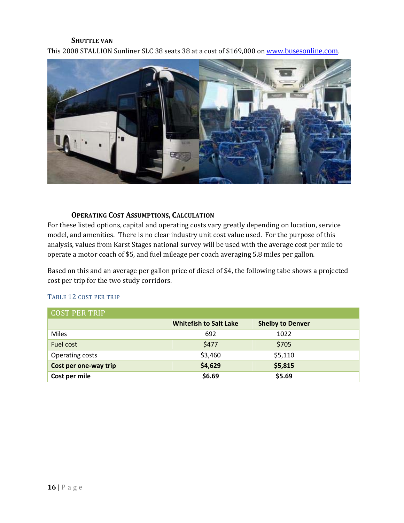#### **SHUTTLE VAN**

This 2008 STALLION Sunliner SLC 38 seats 38 at a cost of \$169,000 on www.busesonline.com.



#### **OPERATING COST ASSUMPTIONS, CALCULATION**

For these listed options, capital and operating costs vary greatly depending on location, service model, and amenities. There is no clear industry unit cost value used. For the purpose of this analysis, values from Karst Stages national survey will be used with the average cost per mile to operate a motor coach of \$5, and fuel mileage per coach averaging 5.8 miles per gallon.

Based on this and an average per gallon price of diesel of \$4, the following tabe shows a projected cost per trip for the two study corridors.

#### TABLE 12 COST PER TRIP

| <b>COST PER TRIP</b>  |                               |                         |  |
|-----------------------|-------------------------------|-------------------------|--|
|                       | <b>Whitefish to Salt Lake</b> | <b>Shelby to Denver</b> |  |
| <b>Miles</b>          | 692                           | 1022                    |  |
| Fuel cost             | \$477                         | \$705                   |  |
| Operating costs       | \$3,460                       | \$5,110                 |  |
| Cost per one-way trip | \$4,629                       | \$5,815                 |  |
| Cost per mile         | \$6.69                        | \$5.69                  |  |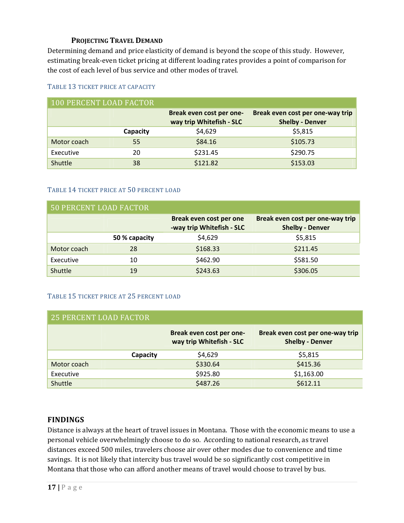## **PROJECTING TRAVEL DEMAND**

Determining demand and price elasticity of demand is beyond the scope of this study. However, estimating break-even ticket pricing at different loading rates provides a point of comparison for the cost of each level of bus service and other modes of travel.

#### TABLE 13 TICKET PRICE AT CAPACITY

| 100 PERCENT LOAD FACTOR |          |                                                      |                                                            |
|-------------------------|----------|------------------------------------------------------|------------------------------------------------------------|
|                         |          | Break even cost per one-<br>way trip Whitefish - SLC | Break even cost per one-way trip<br><b>Shelby - Denver</b> |
|                         | Capacity | \$4,629                                              | \$5,815                                                    |
| Motor coach             | 55       | \$84.16                                              | \$105.73                                                   |
| Executive               | 20       | \$231.45                                             | \$290.75                                                   |
| Shuttle                 | 38       | \$121.82                                             | \$153.03                                                   |

#### TABLE 14 TICKET PRICE AT 50 PERCENT LOAD

| <b>50 PERCENT LOAD FACTOR</b> |               |                                                      |                                                            |
|-------------------------------|---------------|------------------------------------------------------|------------------------------------------------------------|
|                               |               | Break even cost per one<br>-way trip Whitefish - SLC | Break even cost per one-way trip<br><b>Shelby - Denver</b> |
|                               | 50 % capacity | \$4,629                                              | \$5,815                                                    |
| Motor coach                   | 28            | \$168.33                                             | \$211.45                                                   |
| Executive                     | 10            | \$462.90                                             | \$581.50                                                   |
| Shuttle                       | 19            | \$243.63                                             | \$306.05                                                   |

#### TABLE 15 TICKET PRICE AT 25 PERCENT LOAD

| <b>25 PERCENT LOAD FACTOR</b> |          |                                                      |                                                            |
|-------------------------------|----------|------------------------------------------------------|------------------------------------------------------------|
|                               |          | Break even cost per one-<br>way trip Whitefish - SLC | Break even cost per one-way trip<br><b>Shelby - Denver</b> |
|                               | Capacity | \$4,629                                              | \$5,815                                                    |
| Motor coach                   |          | \$330.64                                             | \$415.36                                                   |
| Executive                     |          | \$925.80                                             | \$1,163.00                                                 |
| Shuttle                       |          | \$487.26                                             | \$612.11                                                   |

## **FINDINGS**

Distance is always at the heart of travel issues in Montana. Those with the economic means to use a personal vehicle overwhelmingly choose to do so. According to national research, as travel distances exceed 500 miles, travelers choose air over other modes due to convenience and time savings. It is not likely that intercity bus travel would be so significantly cost competitive in Montana that those who can afford another means of travel would choose to travel by bus.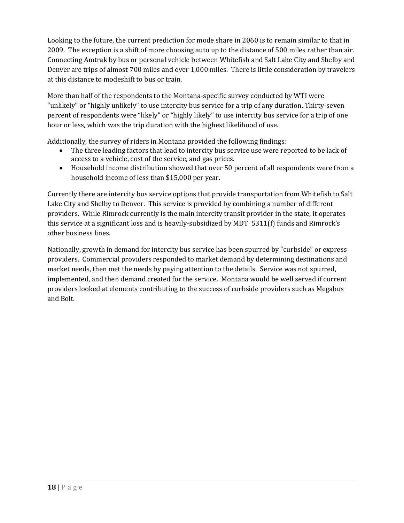Looking to the future, the current prediction for mode share in 2060 is to remain similar to that in 2009. The exception is a shift of more choosing auto up to the distance of 500 miles rather than air. Connecting Amtrak by bus or personal vehicle between Whitefish and Salt Lake City and Shelby and Denver are trips of almost 700 miles and over 1,000 miles. There is little consideration by travelers at this distance to modeshift to bus or train.

More than half of the respondents to the Montana-specific survey conducted by WTI were "unlikely" or "highly unlikely" to use intercity bus service for a trip of any duration. Thirty-seven percent of respondents were "likely" or "highly likely" to use intercity bus service for a trip of one hour or less, which was the trip duration with the highest likelihood of use.

Additionally, the survey of riders in Montana provided the following findings:

- The three leading factors that lead to intercity bus service use were reported to be lack of access to a vehicle, cost of the service, and gas prices.
- Household income distribution showed that over 50 percent of all respondents were from a household income of less than \$15,000 per year.

Currently there are intercity bus service options that provide transportation from Whitefish to Salt Lake City and Shelby to Denver. This service is provided by combining a number of different providers. While Rimrock currently is the main intercity transit provider in the state, it operates this service at a significant loss and is heavily-subsidized by MDT  $5311(f)$  funds and Rimrock's other business lines.

Nationally, growth in demand for intercity bus service has been spurred by "curbside" or express providers. Commercial providers responded to market demand by determining destinations and market needs, then met the needs by paying attention to the details. Service was not spurred, implemented, and then demand created for the service. Montana would be well served if current providers looked at elements contributing to the success of curbside providers such as Megabus and Bolt.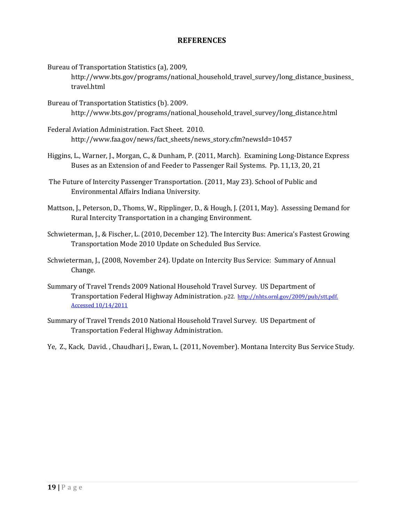## **REFERENCES**

Bureau of Transportation Statistics (a), 2009,

http://www.bts.gov/programs/national\_household\_travel\_survey/long\_distance\_business travel.html 

- Bureau of Transportation Statistics (b). 2009. http://www.bts.gov/programs/national\_household\_travel\_survey/long\_distance.html
- Federal Aviation Administration. Fact Sheet. 2010. http://www.faa.gov/news/fact\_sheets/news\_story.cfm?newsId=10457
- Higgins, L., Warner, J., Morgan, C., & Dunham, P. (2011, March). Examining Long-Distance Express Buses as an Extension of and Feeder to Passenger Rail Systems. Pp. 11,13, 20, 21
- The Future of Intercity Passenger Transportation. (2011, May 23). School of Public and Environmental Affairs Indiana University.
- Mattson, J., Peterson, D., Thoms, W., Ripplinger, D., & Hough, J. (2011, May). Assessing Demand for Rural Intercity Transportation in a changing Environment.
- Schwieterman, J., & Fischer, L. (2010, December 12). The Intercity Bus: America's Fastest Growing Transportation Mode 2010 Update on Scheduled Bus Service.
- Schwieterman, J., (2008, November 24). Update on Intercity Bus Service: Summary of Annual Change.
- Summary of Travel Trends 2009 National Household Travel Survey. US Department of Transportation Federal Highway Administration. p22. http://nhts.ornl.gov/2009/pub/stt.pdf. Accessed 10/14/2011
- Summary of Travel Trends 2010 National Household Travel Survey. US Department of Transportation Federal Highway Administration.
- Ye, Z., Kack, David., Chaudhari J., Ewan, L. (2011, November). Montana Intercity Bus Service Study.